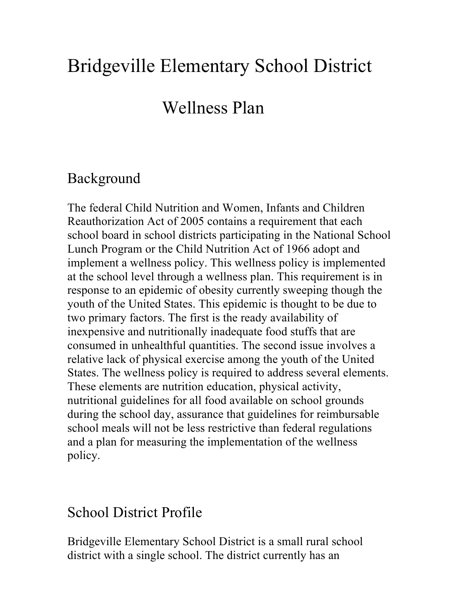# Bridgeville Elementary School District

## Wellness Plan

#### Background

The federal Child Nutrition and Women, Infants and Children Reauthorization Act of 2005 contains a requirement that each school board in school districts participating in the National School Lunch Program or the Child Nutrition Act of 1966 adopt and implement a wellness policy. This wellness policy is implemented at the school level through a wellness plan. This requirement is in response to an epidemic of obesity currently sweeping though the youth of the United States. This epidemic is thought to be due to two primary factors. The first is the ready availability of inexpensive and nutritionally inadequate food stuffs that are consumed in unhealthful quantities. The second issue involves a relative lack of physical exercise among the youth of the United States. The wellness policy is required to address several elements. These elements are nutrition education, physical activity, nutritional guidelines for all food available on school grounds during the school day, assurance that guidelines for reimbursable school meals will not be less restrictive than federal regulations and a plan for measuring the implementation of the wellness policy.

#### School District Profile

Bridgeville Elementary School District is a small rural school district with a single school. The district currently has an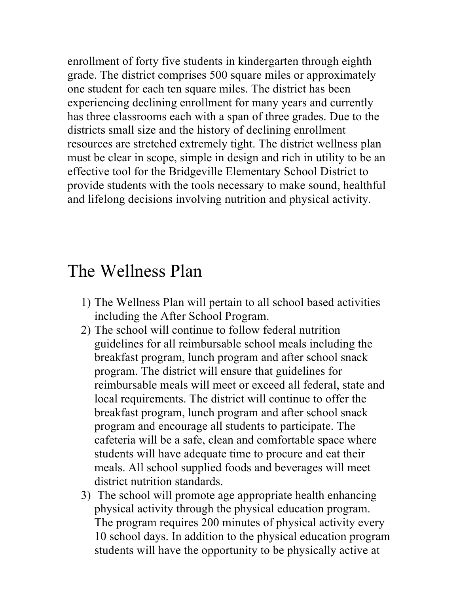enrollment of forty five students in kindergarten through eighth grade. The district comprises 500 square miles or approximately one student for each ten square miles. The district has been experiencing declining enrollment for many years and currently has three classrooms each with a span of three grades. Due to the districts small size and the history of declining enrollment resources are stretched extremely tight. The district wellness plan must be clear in scope, simple in design and rich in utility to be an effective tool for the Bridgeville Elementary School District to provide students with the tools necessary to make sound, healthful and lifelong decisions involving nutrition and physical activity.

### The Wellness Plan

- 1) The Wellness Plan will pertain to all school based activities including the After School Program.
- 2) The school will continue to follow federal nutrition guidelines for all reimbursable school meals including the breakfast program, lunch program and after school snack program. The district will ensure that guidelines for reimbursable meals will meet or exceed all federal, state and local requirements. The district will continue to offer the breakfast program, lunch program and after school snack program and encourage all students to participate. The cafeteria will be a safe, clean and comfortable space where students will have adequate time to procure and eat their meals. All school supplied foods and beverages will meet district nutrition standards.
- 3) The school will promote age appropriate health enhancing physical activity through the physical education program. The program requires 200 minutes of physical activity every 10 school days. In addition to the physical education program students will have the opportunity to be physically active at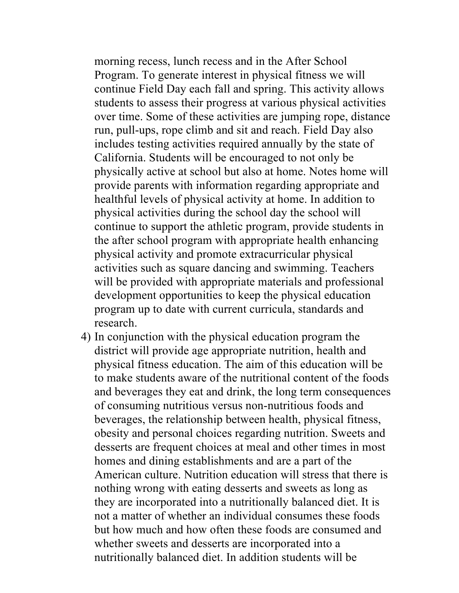morning recess, lunch recess and in the After School Program. To generate interest in physical fitness we will continue Field Day each fall and spring. This activity allows students to assess their progress at various physical activities over time. Some of these activities are jumping rope, distance run, pull-ups, rope climb and sit and reach. Field Day also includes testing activities required annually by the state of California. Students will be encouraged to not only be physically active at school but also at home. Notes home will provide parents with information regarding appropriate and healthful levels of physical activity at home. In addition to physical activities during the school day the school will continue to support the athletic program, provide students in the after school program with appropriate health enhancing physical activity and promote extracurricular physical activities such as square dancing and swimming. Teachers will be provided with appropriate materials and professional development opportunities to keep the physical education program up to date with current curricula, standards and research.

4) In conjunction with the physical education program the district will provide age appropriate nutrition, health and physical fitness education. The aim of this education will be to make students aware of the nutritional content of the foods and beverages they eat and drink, the long term consequences of consuming nutritious versus non-nutritious foods and beverages, the relationship between health, physical fitness, obesity and personal choices regarding nutrition. Sweets and desserts are frequent choices at meal and other times in most homes and dining establishments and are a part of the American culture. Nutrition education will stress that there is nothing wrong with eating desserts and sweets as long as they are incorporated into a nutritionally balanced diet. It is not a matter of whether an individual consumes these foods but how much and how often these foods are consumed and whether sweets and desserts are incorporated into a nutritionally balanced diet. In addition students will be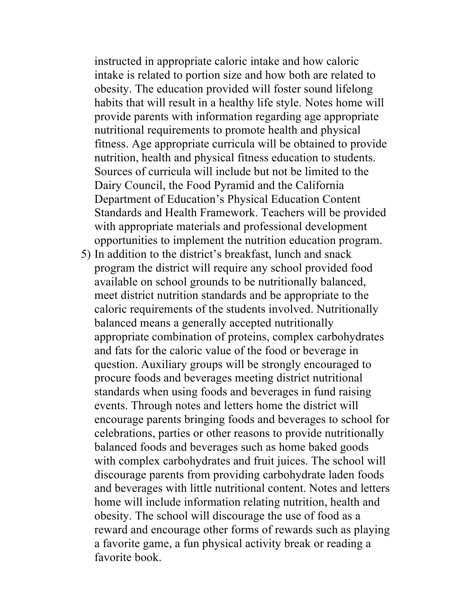instructed in appropriate caloric intake and how caloric intake is related to portion size and how both are related to obesity. The education provided will foster sound lifelong habits that will result in a healthy life style. Notes home will provide parents with information regarding age appropriate nutritional requirements to promote health and physical fitness. Age appropriate curricula will be obtained to provide nutrition, health and physical fitness education to students. Sources of curricula will include but not be limited to the Dairy Council, the Food Pyramid and the California Department of Education's Physical Education Content Standards and Health Framework. Teachers will be provided with appropriate materials and professional development opportunities to implement the nutrition education program.

5) In addition to the district's breakfast, lunch and snack program the district will require any school provided food available on school grounds to be nutritionally balanced, meet district nutrition standards and be appropriate to the caloric requirements of the students involved. Nutritionally balanced means a generally accepted nutritionally appropriate combination of proteins, complex carbohydrates and fats for the caloric value of the food or beverage in question. Auxiliary groups will be strongly encouraged to procure foods and beverages meeting district nutritional standards when using foods and beverages in fund raising events. Through notes and letters home the district will encourage parents bringing foods and beverages to school for celebrations, parties or other reasons to provide nutritionally balanced foods and beverages such as home baked goods with complex carbohydrates and fruit juices. The school will discourage parents from providing carbohydrate laden foods and beverages with little nutritional content. Notes and letters home will include information relating nutrition, health and obesity. The school will discourage the use of food as a reward and encourage other forms of rewards such as playing a favorite game, a fun physical activity break or reading a favorite book.